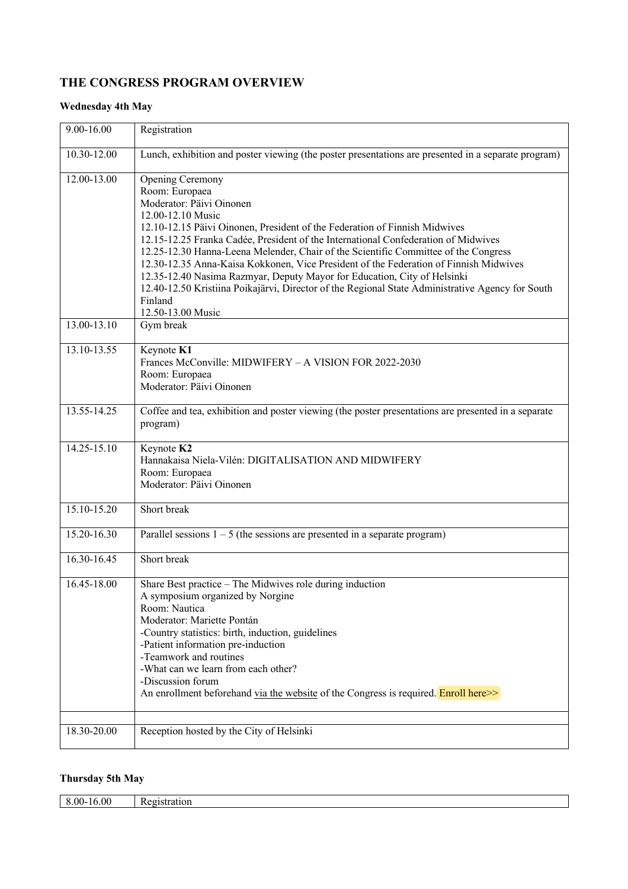## **THE CONGRESS PROGRAM OVERVIEW**

## **Wednesday 4th May**

| 9.00-16.00  | Registration                                                                                                                                                                                                                                                                                                                                                                                                                                                                                                                                                                                                                                            |
|-------------|---------------------------------------------------------------------------------------------------------------------------------------------------------------------------------------------------------------------------------------------------------------------------------------------------------------------------------------------------------------------------------------------------------------------------------------------------------------------------------------------------------------------------------------------------------------------------------------------------------------------------------------------------------|
| 10.30-12.00 | Lunch, exhibition and poster viewing (the poster presentations are presented in a separate program)                                                                                                                                                                                                                                                                                                                                                                                                                                                                                                                                                     |
| 12.00-13.00 | Opening Ceremony<br>Room: Europaea<br>Moderator: Päivi Oinonen<br>12.00-12.10 Music<br>12.10-12.15 Päivi Oinonen, President of the Federation of Finnish Midwives<br>12.15-12.25 Franka Cadée, President of the International Confederation of Midwives<br>12.25-12.30 Hanna-Leena Melender, Chair of the Scientific Committee of the Congress<br>12.30-12.35 Anna-Kaisa Kokkonen, Vice President of the Federation of Finnish Midwives<br>12.35-12.40 Nasima Razmyar, Deputy Mayor for Education, City of Helsinki<br>12.40-12.50 Kristiina Poikajärvi, Director of the Regional State Administrative Agency for South<br>Finland<br>12.50-13.00 Music |
| 13.00-13.10 | Gym break                                                                                                                                                                                                                                                                                                                                                                                                                                                                                                                                                                                                                                               |
| 13.10-13.55 | Keynote K1<br>Frances McConville: MIDWIFERY - A VISION FOR 2022-2030<br>Room: Europaea<br>Moderator: Päivi Oinonen                                                                                                                                                                                                                                                                                                                                                                                                                                                                                                                                      |
| 13.55-14.25 | Coffee and tea, exhibition and poster viewing (the poster presentations are presented in a separate<br>program)                                                                                                                                                                                                                                                                                                                                                                                                                                                                                                                                         |
| 14.25-15.10 | Keynote K2<br>Hannakaisa Niela-Vilén: DIGITALISATION AND MIDWIFERY<br>Room: Europaea<br>Moderator: Päivi Oinonen                                                                                                                                                                                                                                                                                                                                                                                                                                                                                                                                        |
| 15.10-15.20 | Short break                                                                                                                                                                                                                                                                                                                                                                                                                                                                                                                                                                                                                                             |
| 15.20-16.30 | Parallel sessions $1 - 5$ (the sessions are presented in a separate program)                                                                                                                                                                                                                                                                                                                                                                                                                                                                                                                                                                            |
| 16.30-16.45 | Short break                                                                                                                                                                                                                                                                                                                                                                                                                                                                                                                                                                                                                                             |
| 16.45-18.00 | Share Best practice - The Midwives role during induction<br>A symposium organized by Norgine<br>Room: Nautica<br>Moderator: Mariette Pontán<br>-Country statistics: birth, induction, guidelines<br>-Patient information pre-induction<br>-Teamwork and routines<br>-What can we learn from each other?<br>-Discussion forum<br>An enrollment beforehand via the website of the Congress is required. <b>Enroll here</b>                                                                                                                                                                                                                                |
| 18.30-20.00 | Reception hosted by the City of Helsinki                                                                                                                                                                                                                                                                                                                                                                                                                                                                                                                                                                                                                |

## **Thursday 5th May**

| .,00<br>-00- | ĸe<br>пог<br>мнаг |
|--------------|-------------------|
|              |                   |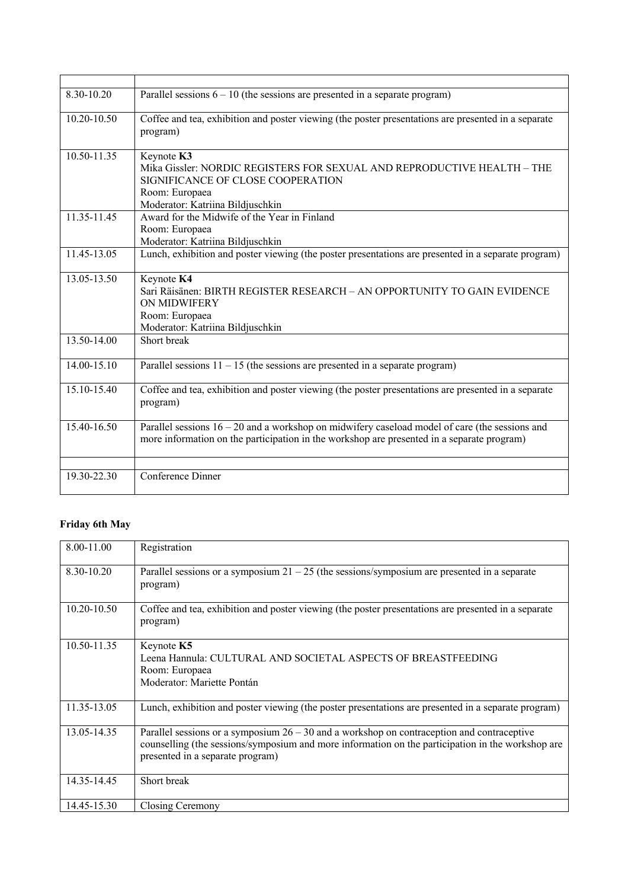| 8.30-10.20      | Parallel sessions $6 - 10$ (the sessions are presented in a separate program)                                                                                                                  |
|-----------------|------------------------------------------------------------------------------------------------------------------------------------------------------------------------------------------------|
| 10.20-10.50     | Coffee and tea, exhibition and poster viewing (the poster presentations are presented in a separate<br>program)                                                                                |
| 10.50-11.35     | Keynote K3<br>Mika Gissler: NORDIC REGISTERS FOR SEXUAL AND REPRODUCTIVE HEALTH - THE<br>SIGNIFICANCE OF CLOSE COOPERATION<br>Room: Europaea<br>Moderator: Katriina Bildjuschkin               |
| 11.35-11.45     | Award for the Midwife of the Year in Finland<br>Room: Europaea<br>Moderator: Katriina Bildjuschkin                                                                                             |
| 11.45-13.05     | Lunch, exhibition and poster viewing (the poster presentations are presented in a separate program)                                                                                            |
| 13.05-13.50     | Keynote K4<br>Sari Räisänen: BIRTH REGISTER RESEARCH – AN OPPORTUNITY TO GAIN EVIDENCE<br>ON MIDWIFERY<br>Room: Europaea<br>Moderator: Katriina Bildjuschkin                                   |
| $13.50 - 14.00$ | Short break                                                                                                                                                                                    |
| 14.00-15.10     | Parallel sessions $11 - 15$ (the sessions are presented in a separate program)                                                                                                                 |
| 15.10-15.40     | Coffee and tea, exhibition and poster viewing (the poster presentations are presented in a separate<br>program)                                                                                |
| 15.40-16.50     | Parallel sessions $16 - 20$ and a workshop on midwifery caseload model of care (the sessions and<br>more information on the participation in the workshop are presented in a separate program) |
|                 |                                                                                                                                                                                                |
| 19.30-22.30     | Conference Dinner                                                                                                                                                                              |

## **Friday 6th May**

| 8.00-11.00      | Registration                                                                                                                                                                                                                          |
|-----------------|---------------------------------------------------------------------------------------------------------------------------------------------------------------------------------------------------------------------------------------|
| 8.30-10.20      | Parallel sessions or a symposium $21 - 25$ (the sessions/symposium are presented in a separate<br>program)                                                                                                                            |
| $10.20 - 10.50$ | Coffee and tea, exhibition and poster viewing (the poster presentations are presented in a separate<br>program)                                                                                                                       |
| 10.50-11.35     | Keynote K5<br>Leena Hannula: CULTURAL AND SOCIETAL ASPECTS OF BREASTFEEDING<br>Room: Europaea<br>Moderator: Mariette Pontán                                                                                                           |
| 11.35-13.05     | Lunch, exhibition and poster viewing (the poster presentations are presented in a separate program)                                                                                                                                   |
| 13.05-14.35     | Parallel sessions or a symposium $26 - 30$ and a workshop on contraception and contraceptive<br>counselling (the sessions/symposium and more information on the participation in the workshop are<br>presented in a separate program) |
| 14.35-14.45     | Short break                                                                                                                                                                                                                           |
| 14.45-15.30     | Closing Ceremony                                                                                                                                                                                                                      |